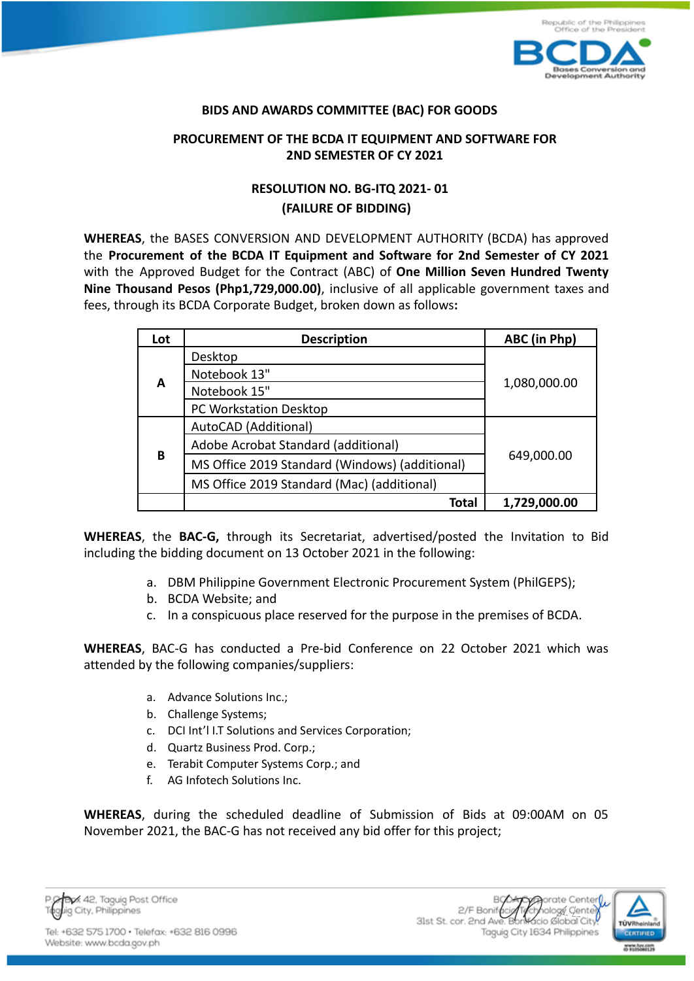

## **BIDS AND AWARDS COMMITTEE (BAC) FOR GOODS**

## **PROCUREMENT OF THE BCDA IT EQUIPMENT AND SOFTWARE FOR 2ND SEMESTER OF CY 2021**

## **RESOLUTION NO. BG-ITQ 2021- 01 (FAILURE OF BIDDING)**

**WHEREAS**, the BASES CONVERSION AND DEVELOPMENT AUTHORITY (BCDA) has approved the **Procurement of the BCDA IT Equipment and Software for 2nd Semester of CY 2021** with the Approved Budget for the Contract (ABC) of **One Million Seven Hundred Twenty Nine Thousand Pesos (Php1,729,000.00)**, inclusive of all applicable government taxes and fees, through its BCDA Corporate Budget, broken down as follows**:**

| Lot | <b>Description</b>                             | ABC (in Php) |
|-----|------------------------------------------------|--------------|
| A   | Desktop                                        | 1,080,000.00 |
|     | Notebook 13"                                   |              |
|     | Notebook 15"                                   |              |
|     | PC Workstation Desktop                         |              |
| В   | AutoCAD (Additional)                           | 649,000.00   |
|     | Adobe Acrobat Standard (additional)            |              |
|     | MS Office 2019 Standard (Windows) (additional) |              |
|     | MS Office 2019 Standard (Mac) (additional)     |              |
|     | Total                                          | 1,729,000.00 |

**WHEREAS**, the **BAC-G,** through its Secretariat, advertised/posted the Invitation to Bid including the bidding document on 13 October 2021 in the following:

- a. DBM Philippine Government Electronic Procurement System (PhilGEPS);
- b. BCDA Website; and
- c. In a conspicuous place reserved for the purpose in the premises of BCDA.

**WHEREAS**, BAC-G has conducted a Pre-bid Conference on 22 October 2021 which was attended by the following companies/suppliers:

- a. Advance Solutions Inc.;
- b. Challenge Systems;
- c. DCI Int'l I.T Solutions and Services Corporation;
- d. Quartz Business Prod. Corp.;
- e. Terabit Computer Systems Corp.; and
- f. AG Infotech Solutions Inc.

**WHEREAS**, during the scheduled deadline of Submission of Bids at 09:00AM on 05 November 2021, the BAC-G has not received any bid offer for this project;